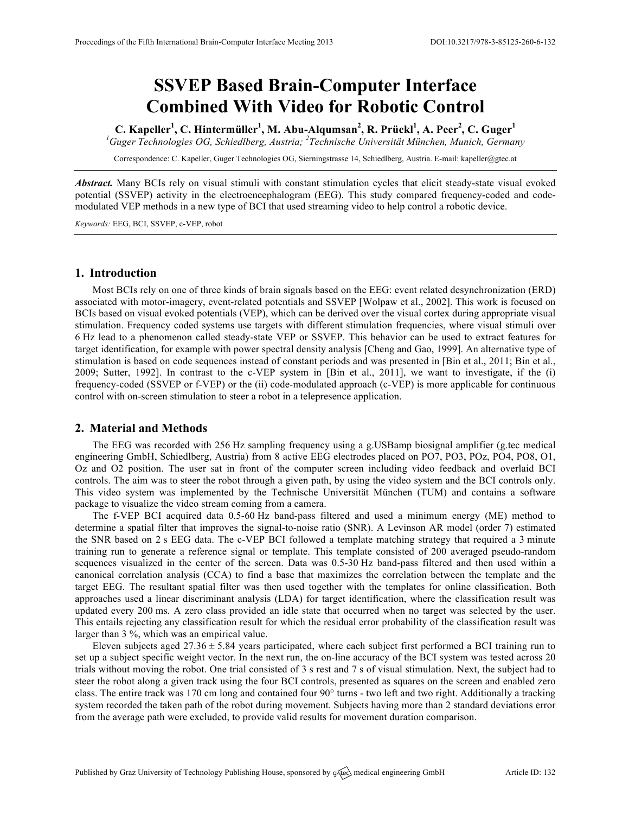# **SSVEP Based Brain-Computer Interface Combined With Video for Robotic Control**

C. Kapeller<sup>1</sup>, C. Hintermüller<sup>1</sup>, M. Abu-Alqumsan<sup>2</sup>, R. Prückl<sup>1</sup>, A. Peer<sup>2</sup>, C. Guger<sup>1</sup> *1 Guger Technologies OG, Schiedlberg, Austria; <sup>2</sup> Technische Universität München, Munich, Germany*

Correspondence: C. Kapeller, Guger Technologies OG, Sierningstrasse 14, Schiedlberg, Austria. E-mail: kapeller@gtec.at

*Abstract.* Many BCIs rely on visual stimuli with constant stimulation cycles that elicit steady-state visual evoked potential (SSVEP) activity in the electroencephalogram (EEG). This study compared frequency-coded and codemodulated VEP methods in a new type of BCI that used streaming video to help control a robotic device.

*Keywords:* EEG, BCI, SSVEP, c-VEP, robot

## **1. Introduction**

Most BCIs rely on one of three kinds of brain signals based on the EEG: event related desynchronization (ERD) associated with motor-imagery, event-related potentials and SSVEP [Wolpaw et al., 2002]. This work is focused on BCIs based on visual evoked potentials (VEP), which can be derived over the visual cortex during appropriate visual stimulation. Frequency coded systems use targets with different stimulation frequencies, where visual stimuli over 6 Hz lead to a phenomenon called steady-state VEP or SSVEP. This behavior can be used to extract features for target identification, for example with power spectral density analysis [Cheng and Gao, 1999]. An alternative type of stimulation is based on code sequences instead of constant periods and was presented in [Bin et al., 2011; Bin et al., 2009; Sutter, 1992]. In contrast to the c-VEP system in [Bin et al., 2011], we want to investigate, if the (i) frequency-coded (SSVEP or f-VEP) or the (ii) code-modulated approach (c-VEP) is more applicable for continuous control with on-screen stimulation to steer a robot in a telepresence application.

### **2. Material and Methods**

The EEG was recorded with 256 Hz sampling frequency using a g.USBamp biosignal amplifier (g.tec medical engineering GmbH, Schiedlberg, Austria) from 8 active EEG electrodes placed on PO7, PO3, POz, PO4, PO8, O1, Oz and O2 position. The user sat in front of the computer screen including video feedback and overlaid BCI controls. The aim was to steer the robot through a given path, by using the video system and the BCI controls only. This video system was implemented by the Technische Universität München (TUM) and contains a software package to visualize the video stream coming from a camera.

The f-VEP BCI acquired data 0.5-60 Hz band-pass filtered and used a minimum energy (ME) method to determine a spatial filter that improves the signal-to-noise ratio (SNR). A Levinson AR model (order 7) estimated the SNR based on 2 s EEG data. The c-VEP BCI followed a template matching strategy that required a 3 minute training run to generate a reference signal or template. This template consisted of 200 averaged pseudo-random sequences visualized in the center of the screen. Data was 0.5-30 Hz band-pass filtered and then used within a canonical correlation analysis (CCA) to find a base that maximizes the correlation between the template and the target EEG. The resultant spatial filter was then used together with the templates for online classification. Both approaches used a linear discriminant analysis (LDA) for target identification, where the classification result was updated every 200 ms. A zero class provided an idle state that occurred when no target was selected by the user. This entails rejecting any classification result for which the residual error probability of the classification result was larger than 3 %, which was an empirical value.

Eleven subjects aged 27.36  $\pm$  5.84 years participated, where each subject first performed a BCI training run to set up a subject specific weight vector. In the next run, the on-line accuracy of the BCI system was tested across 20 trials without moving the robot. One trial consisted of 3 s rest and 7 s of visual stimulation. Next, the subject had to steer the robot along a given track using the four BCI controls, presented as squares on the screen and enabled zero class. The entire track was 170 cm long and contained four 90° turns - two left and two right. Additionally a tracking system recorded the taken path of the robot during movement. Subjects having more than 2 standard deviations error from the average path were excluded, to provide valid results for movement duration comparison.